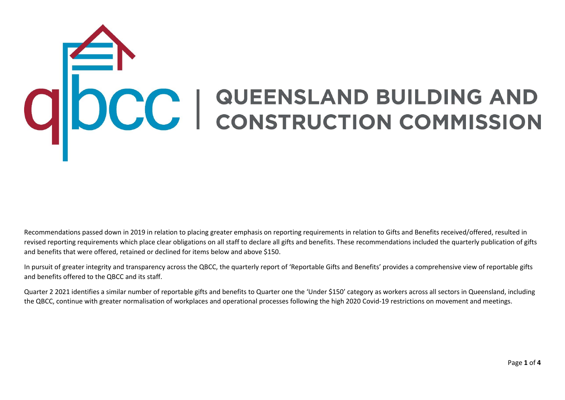## ODCC | QUEENSLAND BUILDING AND

Recommendations passed down in 2019 in relation to placing greater emphasis on reporting requirements in relation to Gifts and Benefits received/offered, resulted in revised reporting requirements which place clear obligations on all staff to declare all gifts and benefits. These recommendations included the quarterly publication of gifts and benefits that were offered, retained or declined for items below and above \$150.

In pursuit of greater integrity and transparency across the QBCC, the quarterly report of 'Reportable Gifts and Benefits' provides a comprehensive view of reportable gifts and benefits offered to the QBCC and its staff.

Quarter 2 2021 identifies a similar number of reportable gifts and benefits to Quarter one the 'Under \$150' category as workers across all sectors in Queensland, including the QBCC, continue with greater normalisation of workplaces and operational processes following the high 2020 Covid-19 restrictions on movement and meetings.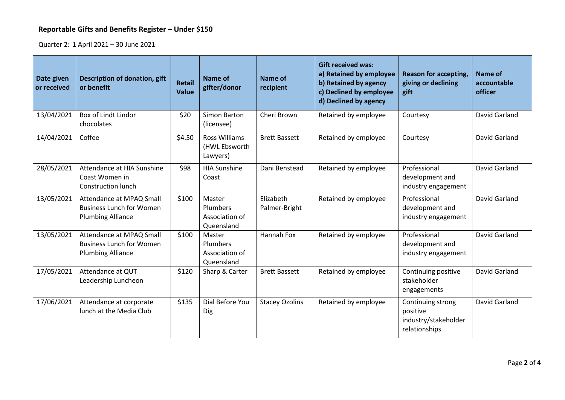## **Reportable Gifts and Benefits Register – Under \$150**

Quarter 2: 1 April 2021 – 30 June 2021

| Date given<br>or received | <b>Description of donation, gift</b><br>or benefit                                      | <b>Retail</b><br><b>Value</b> | Name of<br>gifter/donor                            | Name of<br>recipient       | <b>Gift received was:</b><br>a) Retained by employee<br>b) Retained by agency<br>c) Declined by employee<br>d) Declined by agency | <b>Reason for accepting,</b><br>giving or declining<br>gift            | Name of<br>accountable<br>officer |
|---------------------------|-----------------------------------------------------------------------------------------|-------------------------------|----------------------------------------------------|----------------------------|-----------------------------------------------------------------------------------------------------------------------------------|------------------------------------------------------------------------|-----------------------------------|
| 13/04/2021                | Box of Lindt Lindor<br>chocolates                                                       | \$20                          | <b>Simon Barton</b><br>(licensee)                  | Cheri Brown                | Retained by employee                                                                                                              | Courtesy                                                               | David Garland                     |
| 14/04/2021                | Coffee                                                                                  | \$4.50                        | <b>Ross Williams</b><br>(HWL Ebsworth<br>Lawyers)  | <b>Brett Bassett</b>       | Retained by employee                                                                                                              | Courtesy                                                               | David Garland                     |
| 28/05/2021                | Attendance at HIA Sunshine<br>Coast Women in<br>Construction lunch                      | \$98                          | <b>HIA Sunshine</b><br>Coast                       | Dani Benstead              | Retained by employee                                                                                                              | Professional<br>development and<br>industry engagement                 | David Garland                     |
| 13/05/2021                | Attendance at MPAQ Small<br><b>Business Lunch for Women</b><br><b>Plumbing Alliance</b> | \$100                         | Master<br>Plumbers<br>Association of<br>Queensland | Elizabeth<br>Palmer-Bright | Retained by employee                                                                                                              | Professional<br>development and<br>industry engagement                 | David Garland                     |
| 13/05/2021                | Attendance at MPAQ Small<br><b>Business Lunch for Women</b><br><b>Plumbing Alliance</b> | \$100                         | Master<br>Plumbers<br>Association of<br>Queensland | Hannah Fox                 | Retained by employee                                                                                                              | Professional<br>development and<br>industry engagement                 | <b>David Garland</b>              |
| 17/05/2021                | Attendance at QUT<br>Leadership Luncheon                                                | \$120                         | Sharp & Carter                                     | <b>Brett Bassett</b>       | Retained by employee                                                                                                              | Continuing positive<br>stakeholder<br>engagements                      | David Garland                     |
| 17/06/2021                | Attendance at corporate<br>lunch at the Media Club                                      | \$135                         | Dial Before You<br><b>Dig</b>                      | <b>Stacey Ozolins</b>      | Retained by employee                                                                                                              | Continuing strong<br>positive<br>industry/stakeholder<br>relationships | David Garland                     |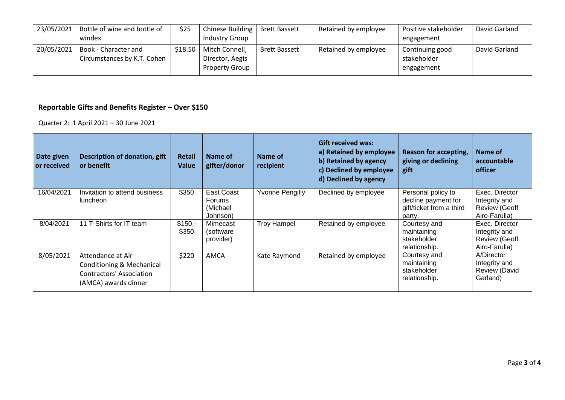| 23/05/2021 | Bottle of wine and bottle of                        | \$25    | Chinese Building                                           | <b>Brett Bassett</b> | Retained by employee | Positive stakeholder                         | David Garland |
|------------|-----------------------------------------------------|---------|------------------------------------------------------------|----------------------|----------------------|----------------------------------------------|---------------|
|            | windex                                              |         | <b>Industry Group</b>                                      |                      |                      | engagement                                   |               |
| 20/05/2021 | Book - Character and<br>Circumstances by K.T. Cohen | \$18.50 | Mitch Connell,<br>Director, Aegis<br><b>Property Group</b> | <b>Brett Bassett</b> | Retained by employee | Continuing good<br>stakeholder<br>engagement | David Garland |

## **Reportable Gifts and Benefits Register – Over \$150**

Quarter 2: 1 April 2021 – 30 June 2021

| Date given<br>or received | <b>Description of donation, gift</b><br>or benefit                                                                   | <b>Retail</b><br><b>Value</b> | Name of<br>gifter/donor                      | Name of<br>recipient   | <b>Gift received was:</b><br>a) Retained by employee<br>b) Retained by agency<br>c) Declined by employee<br>d) Declined by agency | <b>Reason for accepting,</b><br>giving or declining<br>gift                     | Name of<br>accountable<br>officer                                        |
|---------------------------|----------------------------------------------------------------------------------------------------------------------|-------------------------------|----------------------------------------------|------------------------|-----------------------------------------------------------------------------------------------------------------------------------|---------------------------------------------------------------------------------|--------------------------------------------------------------------------|
| 16/04/2021                | Invitation to attend business<br><b>luncheon</b>                                                                     | \$350                         | East Coast<br>Forums<br>(Michael<br>Johnson) | <b>Yvonne Pengilly</b> | Declined by employee                                                                                                              | Personal policy to<br>decline payment for<br>gift/ticket from a third<br>party. | Exec. Director<br>Integrity and<br><b>Review (Geoff</b><br>Airo-Farulla) |
| 8/04/2021                 | 11 T-Shirts for IT team                                                                                              | $$150 -$<br>\$350             | Mimecast<br>(software<br>provider)           | <b>Troy Hampel</b>     | Retained by employee                                                                                                              | Courtesy and<br>maintaining<br>stakeholder<br>relationship.                     | Exec. Director<br>Integrity and<br><b>Review (Geoff</b><br>Airo-Farulla) |
| 8/05/2021                 | Attendance at Air<br><b>Conditioning &amp; Mechanical</b><br><b>Contractors' Association</b><br>(AMCA) awards dinner | \$220                         | <b>AMCA</b>                                  | Kate Raymond           | Retained by employee                                                                                                              | Courtesy and<br>maintaining<br>stakeholder<br>relationship.                     | A/Director<br>Integrity and<br>Review (David<br>Garland)                 |